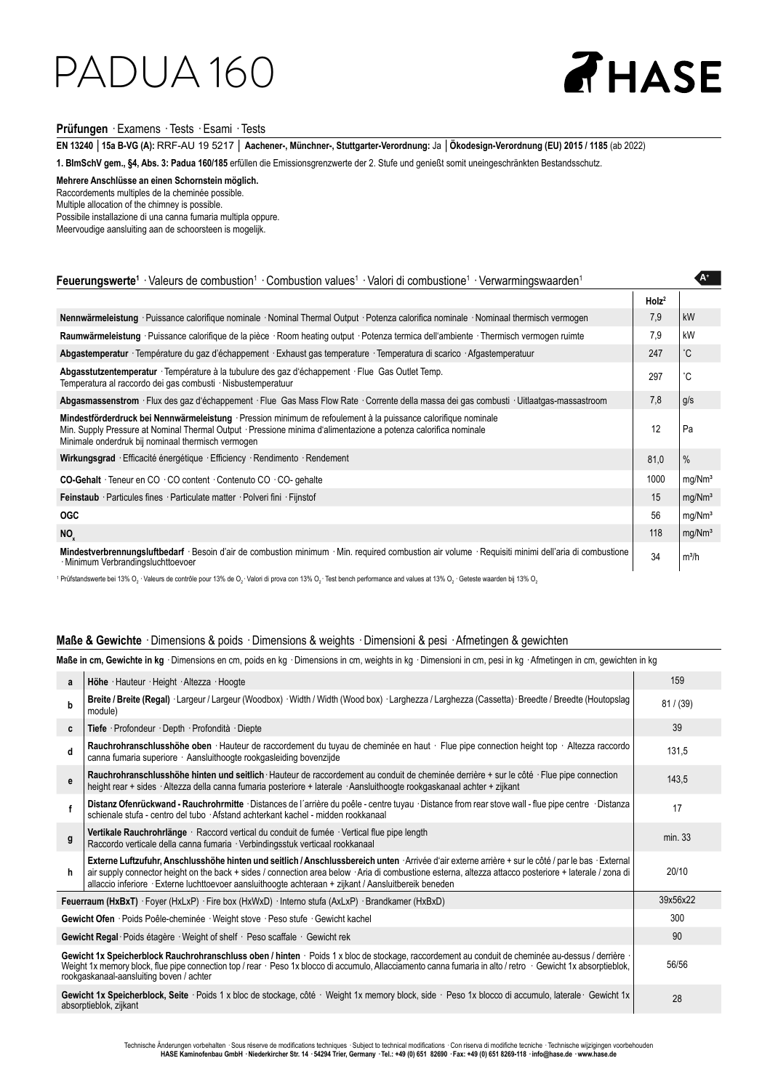### PADUA 160

## **AHASE**

**A+**

### **Prüfungen** · Examens · Tests · Esami · Tests

**EN 13240** │**15a B-VG (A):** RRF-AU 19 5217 │ **Aachener-, Münchner-, Stuttgarter-Verordnung:** Ja │**Ökodesign-Verordnung (EU) 2015 / 1185** (ab 2022)

**1. BImSchV gem., §4, Abs. 3: Padua 160/185** erfüllen die Emissionsgrenzwerte der 2. Stufe und genießt somit uneingeschränkten Bestandsschutz.

**Mehrere Anschlüsse an einen Schornstein möglich.**  Raccordements multiples de la cheminée possible. Multiple allocation of the chimney is possible. Possibile installazione di una canna fumaria multipla oppure.

Meervoudige aansluiting aan de schoorsteen is mogelijk.

### Feuerungswerte<sup>1</sup> · Valeurs de combustion<sup>1</sup> · Combustion values<sup>1</sup> · Valori di combustione<sup>1</sup> · Verwarmingswaarden<sup>1</sup>

|                                                                                                                                                                                                                                                                                         | Holz <sup>2</sup> |                    |
|-----------------------------------------------------------------------------------------------------------------------------------------------------------------------------------------------------------------------------------------------------------------------------------------|-------------------|--------------------|
| Nennwärmeleistung · Puissance calorifique nominale · Nominal Thermal Output · Potenza calorifica nominale · Nominaal thermisch vermogen                                                                                                                                                 | 7.9               | kW                 |
| Raumwärmeleistung · Puissance calorifique de la pièce · Room heating output · Potenza termica dell'ambiente · Thermisch vermogen ruimte                                                                                                                                                 | 7.9               | kW                 |
| Abgastemperatur · Température du gaz d'échappement · Exhaust gas temperature · Temperatura di scarico · Afgastemperatuur                                                                                                                                                                | 247               | °С                 |
| <b>Abgasstutzentemperatur</b> Température à la tubulure des gaz d'échappement Flue Gas Outlet Temp.<br>Temperatura al raccordo dei gas combusti · Nisbustemperatuur                                                                                                                     | 297               | °C                 |
| Abgasmassenstrom · Flux des gaz d'échappement · Flue Gas Mass Flow Rate · Corrente della massa dei gas combusti · Uitlaatgas-massastroom                                                                                                                                                | 7,8               | g/s                |
| Mindestförderdruck bei Nennwärmeleistung · Pression minimum de refoulement à la puissance calorifique nominale<br>Min. Supply Pressure at Nominal Thermal Output · Pressione minima d'alimentazione a potenza calorifica nominale<br>Minimale onderdruk bij nominaal thermisch vermogen | 12                | Pa                 |
| Wirkungsgrad · Efficacité énergétique · Efficiency · Rendimento · Rendement                                                                                                                                                                                                             | 81,0              | $\%$               |
| <b>CO-Gehalt</b> Teneur en CO · CO content · Contenuto CO · CO- gehalte                                                                                                                                                                                                                 | 1000              | mg/Nm <sup>3</sup> |
| <b>Feinstaub</b> Particules fines Particulate matter Polveri fini Fijnstof                                                                                                                                                                                                              | 15                | mg/Nm <sup>3</sup> |
| <b>OGC</b>                                                                                                                                                                                                                                                                              | 56                | mg/Mm <sup>3</sup> |
| NO <sub>x</sub>                                                                                                                                                                                                                                                                         | 118               | mg/Nm <sup>3</sup> |
| Mindestverbrennungsluftbedarf · Besoin d'air de combustion minimum · Min. required combustion air volume · Requisiti minimi dell'aria di combustione<br>· Minimum Verbrandingsluchttoevoer                                                                                              | 34                | $m^3/h$            |

 $^1$  Prüfstandswerte bei 13% O $_2$  · Valeurs de contrôle pour 13% de O $_2$  · Valori di prova con 13% O $_2$  · Test bench performance and values at 13% O $_2$  · Geteste waarden bij 13% O $_2$ 

### **Maße & Gewichte** · Dimensions & poids · Dimensions & weights · Dimensioni & pesi · Afmetingen & gewichten

**Maße in cm, Gewichte in kg** · Dimensions en cm, poids en kg · Dimensions in cm, weights in kg · Dimensioni in cm, pesi in kg · Afmetingen in cm, gewichten in kg

| a                                                                                                                                                                                                                                                                                                                                                               | Höhe · Hauteur · Height · Altezza · Hoogte                                                                                                                                                                                                                                                                                                                                                                              | 159       |
|-----------------------------------------------------------------------------------------------------------------------------------------------------------------------------------------------------------------------------------------------------------------------------------------------------------------------------------------------------------------|-------------------------------------------------------------------------------------------------------------------------------------------------------------------------------------------------------------------------------------------------------------------------------------------------------------------------------------------------------------------------------------------------------------------------|-----------|
| b                                                                                                                                                                                                                                                                                                                                                               | Breite / Breite (Regal) · Largeur / Largeur (Woodbox) · Width / Width (Wood box) · Larghezza / Larghezza (Cassetta) · Breedte / Breedte (Houtopslag<br>module)                                                                                                                                                                                                                                                          | 81 / (39) |
| C                                                                                                                                                                                                                                                                                                                                                               | Tiefe · Profondeur · Depth · Profondità · Diepte                                                                                                                                                                                                                                                                                                                                                                        | 39        |
| d                                                                                                                                                                                                                                                                                                                                                               | Rauchrohranschlusshöhe oben · Hauteur de raccordement du tuyau de cheminée en haut · Flue pipe connection height top · Altezza raccordo<br>canna fumaria superiore · Aansluithoogte rookgasleiding bovenzijde                                                                                                                                                                                                           | 131,5     |
| е                                                                                                                                                                                                                                                                                                                                                               | Rauchrohranschlusshöhe hinten und seitlich Hauteur de raccordement au conduit de cheminée derrière + sur le côté · Flue pipe connection<br>height rear + sides · Altezza della canna fumaria posteriore + laterale · Aansluithoogte rookgaskanaal achter + zijkant                                                                                                                                                      | 143,5     |
| f                                                                                                                                                                                                                                                                                                                                                               | Distanz Ofenrückwand - Rauchrohrmitte · Distances de l'arrière du poêle - centre tuyau · Distance from rear stove wall - flue pipe centre · Distanza<br>schienale stufa - centro del tubo · Afstand achterkant kachel - midden rookkanaal                                                                                                                                                                               | 17        |
| g                                                                                                                                                                                                                                                                                                                                                               | Vertikale Rauchrohrlänge · Raccord vertical du conduit de fumée · Vertical flue pipe length<br>Raccordo verticale della canna fumaria · Verbindingsstuk verticaal rookkanaal                                                                                                                                                                                                                                            | min. 33   |
| h                                                                                                                                                                                                                                                                                                                                                               | Externe Luftzufuhr, Anschlusshöhe hinten und seitlich / Anschlussbereich unten · Arrivée d'air externe arrière + sur le côté / par le bas · External<br>air supply connector height on the back + sides / connection area below · Aria di combustione esterna, altezza attacco posteriore + laterale / zona di<br>allaccio inferiore · Externe luchttoevoer aansluithoogte achteraan + zijkant / Aansluitbereik beneden | 20/10     |
| Feuerraum (HxBxT) · Foyer (HxLxP) · Fire box (HxWxD) · Interno stufa (AxLxP) · Brandkamer (HxBxD)                                                                                                                                                                                                                                                               |                                                                                                                                                                                                                                                                                                                                                                                                                         |           |
| Gewicht Ofen · Poids Poêle-cheminée · Weight stove · Peso stufe · Gewicht kachel                                                                                                                                                                                                                                                                                |                                                                                                                                                                                                                                                                                                                                                                                                                         | 300       |
|                                                                                                                                                                                                                                                                                                                                                                 | Gewicht Regal Poids étagère · Weight of shelf · Peso scaffale · Gewicht rek                                                                                                                                                                                                                                                                                                                                             | 90        |
| Gewicht 1x Speicherblock Rauchrohranschluss oben / hinten · Poids 1 x bloc de stockage, raccordement au conduit de cheminée au-dessus / derrière ·<br>Weight 1x memory block, flue pipe connection top / rear · Peso 1x blocco di accumulo, Allacciamento canna fumaria in alto / retro · Gewicht 1x absorptieblok,<br>rookgaskanaal-aansluiting boven / achter |                                                                                                                                                                                                                                                                                                                                                                                                                         | 56/56     |
|                                                                                                                                                                                                                                                                                                                                                                 | Gewicht 1x Speicherblock, Seite · Poids 1 x bloc de stockage, côté · Weight 1x memory block, side · Peso 1x blocco di accumulo, laterale · Gewicht 1x<br>absorptieblok, zijkant                                                                                                                                                                                                                                         | 28        |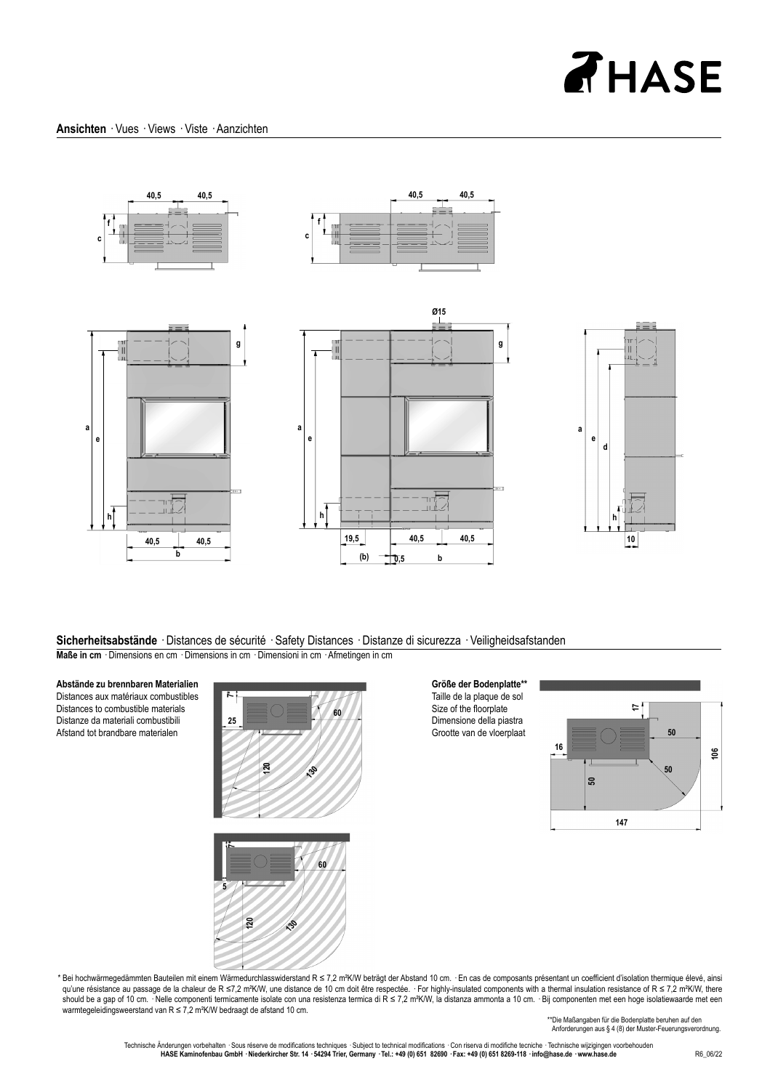# **AHASE**



#### **Sicherheitsabstände** · Distances de sécurité · Safety Distances · Distanze di sicurezza · Veiligheidsafstanden **Maße in cm** · Dimensions en cm · Dimensions in cm · Dimensioni in cm · Afmetingen in cm

**Abstände zu brennbaren Materialien**

Distances aux matériaux combustibles Distances to combustible materials Distanze da materiali combustibili Afstand tot brandbare materialen



**Größe der Bodenplatte\*\*** Taille de la plaque de sol Size of the floorplate Dimensione della piastra Grootte van de vloerplaat





\* Bei hochwärmegedämmten Bauteilen mit einem Wärmedurchlasswiderstand R ≤ 7,2 m²K/W beträgt der Abstand 10 cm. · En cas de composants présentant un coeffi cient d'isolation thermique élevé, ainsi qu'une résistance au passage de la chaleur de R ≤7,2 mªK/W, une distance de 10 cm doit être respectée. · For highly-insulated components with a thermal insulation resistance of R ≤ 7,2 mºK/W, there should be a gap of 10 cm. · Nelle componenti termicamente isolate con una resistenza termica di R ≤ 7,2 m²K/W, la distanza ammonta a 10 cm. · Bij componenten met een hoge isolatiewaarde met een warmtegeleidingsweerstand van R ≤ 7,2 m²K/W bedraagt de afstand 10 cm.

\*\* Die Maßangaben für die Bodenplatte beruhen auf den Anforderungen aus § 4 (8) der Muster-Feuerungsverordnung.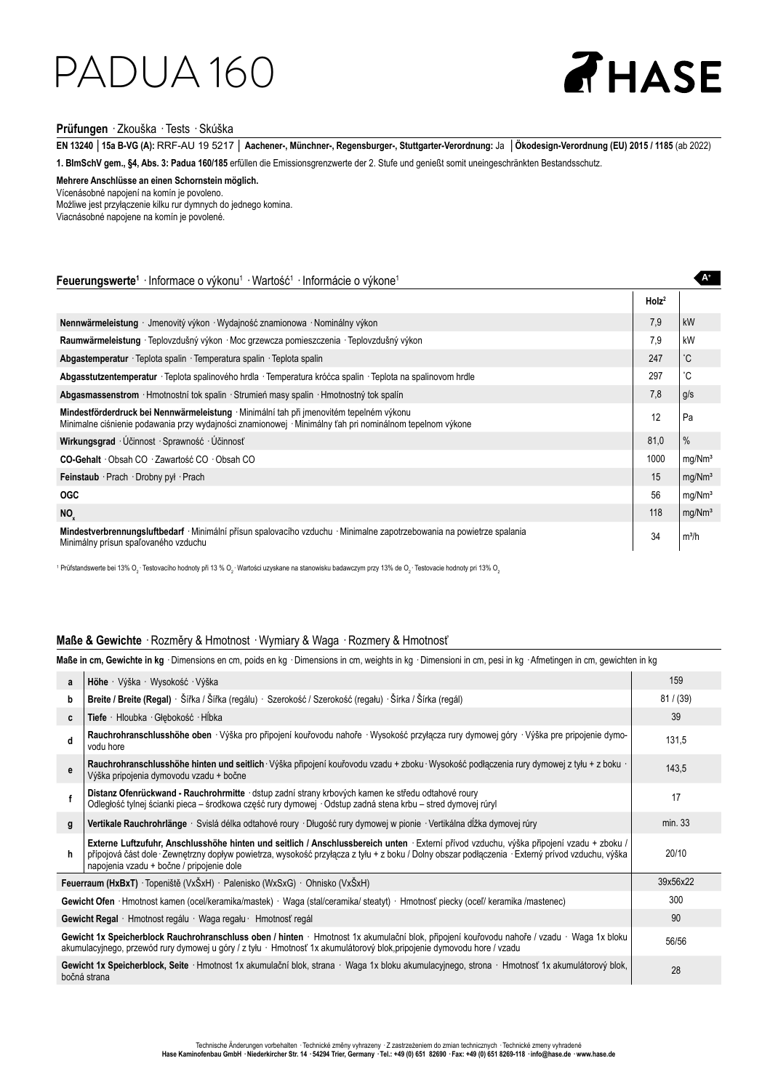### PADUA 160

# **AHASE**

 **A+**

### **Prüfungen** · Zkouška · Tests · Skúška

**EN 13240** │**15a B-VG (A):** RRF-AU 19 5217 │ **Aachener-, Münchner-, Regensburger-, Stuttgarter-Verordnung:** Ja │**Ökodesign-Verordnung (EU) 2015 / 1185** (ab 2022) **1. BImSchV gem., §4, Abs. 3: Padua 160/185** erfüllen die Emissionsgrenzwerte der 2. Stufe und genießt somit uneingeschränkten Bestandsschutz.

**Mehrere Anschlüsse an einen Schornstein möglich.** Vícenásobné napojení na komín je povoleno.

Możliwe jest przyłączenie kilku rur dymnych do jednego komina. Viacnásobné napojene na komín je povolené.

### Feuerungswerte<sup>1</sup> · Informace o výkonu<sup>1</sup> · Wartość<sup>1</sup> · Informácie o výkone<sup>1</sup>

|                                                                                                                                                                                                     | Holz <sup>2</sup> |                    |
|-----------------------------------------------------------------------------------------------------------------------------------------------------------------------------------------------------|-------------------|--------------------|
| Nennwärmeleistung · Jmenovitý výkon · Wydajność znamionowa · Nominálny výkon                                                                                                                        | 7.9               | kW                 |
| Raumwärmeleistung · Teplovzdušný výkon · Moc grzewcza pomieszczenia · Teplovzdušný výkon                                                                                                            | 7,9               | kW                 |
| Abgastemperatur · Teplota spalin · Temperatura spalin · Teplota spalin                                                                                                                              | 247               | °С                 |
| Abgasstutzentemperatur · Teplota spalinového hrdla · Temperatura króćca spalin · Teplota na spalinovom hrdle                                                                                        | 297               | °C                 |
| Abgasmassenstrom · Hmotnostní tok spalin · Strumień masy spalin · Hmotnostný tok spalín                                                                                                             | 7,8               | q/s                |
| Mindestförderdruck bei Nennwärmeleistung · Minimální tah při jmenovitém tepelném výkonu<br>Minimalne ciśnienie podawania przy wydajności znamionowej · Minimálny ťah pri nominálnom tepelnom výkone | 12                | Pa                 |
| Wirkungsgrad · Účinnost · Sprawność · Účinnosť                                                                                                                                                      | 81,0              | $\%$               |
| CO-Gehalt Obsah CO Zawartość CO Obsah CO                                                                                                                                                            | 1000              | mg/Nm <sup>3</sup> |
| Feinstaub Prach Drobny pyl Prach                                                                                                                                                                    | 15                | mg/Nm <sup>3</sup> |
| <b>OGC</b>                                                                                                                                                                                          | 56                | mg/Nm <sup>3</sup> |
| NO <sub>x</sub>                                                                                                                                                                                     | 118               | mg/Nm <sup>3</sup> |
| Mindestverbrennungsluftbedarf · Minimální přísun spalovacího vzduchu · Minimalne zapotrzebowania na powietrze spalania<br>Minimálny prísun spaľovaného vzduchu                                      | 34                | m <sup>3</sup> /h  |

 $^1$  Prüfstandswerte bei 13% O $_2$ · Testovacího hodnoty při 13 % O $_2$ · Wartości uzyskane na stanowisku badawczym przy 13% de O $_2$ · Testovacie hodnoty pri 13% O $_2$ 

### **Maße & Gewichte** · Rozměry & Hmotnost · Wymiary & Waga · Rozmery & Hmotnosť

**Maße in cm, Gewichte in kg** · Dimensions en cm, poids en kg · Dimensions in cm, weights in kg · Dimensioni in cm, pesi in kg · Afmetingen in cm, gewichten in kg

| a                                                                                                                                                                                                                                                                      | Höhe · Výška · Wysokość · Výška                                                                                                                                                                                                                                                                                                           | 159       |
|------------------------------------------------------------------------------------------------------------------------------------------------------------------------------------------------------------------------------------------------------------------------|-------------------------------------------------------------------------------------------------------------------------------------------------------------------------------------------------------------------------------------------------------------------------------------------------------------------------------------------|-----------|
| b                                                                                                                                                                                                                                                                      | Breite / Breite (Regal) · Šířka / Šířka (regálu) · Szerokość / Szerokość (regału) · Šírka / Šírka (regál)                                                                                                                                                                                                                                 | 81 / (39) |
| C                                                                                                                                                                                                                                                                      | Tiefe · Hloubka · Głebokość · Hĺbka                                                                                                                                                                                                                                                                                                       | 39        |
| d                                                                                                                                                                                                                                                                      | Rauchrohranschlusshöhe oben · Výška pro připojení kouřovodu nahoře · Wysokość przyłącza rury dymowej góry · Výška pre pripojenie dymo-<br>vodu hore                                                                                                                                                                                       | 131,5     |
| e                                                                                                                                                                                                                                                                      | Rauchrohranschlusshöhe hinten und seitlich Výška připojení kouřovodu vzadu + zboku Wysokość podlączenia rury dymowej z tylu + z boku ·<br>Výška pripojenia dymovodu vzadu + bočne                                                                                                                                                         | 143,5     |
|                                                                                                                                                                                                                                                                        | Distanz Ofenrückwand - Rauchrohrmitte · dstup zadní strany krbových kamen ke středu odtahové roury<br>Odległość tylnej ścianki pieca – środkowa część rury dymowej · Odstup zadná stena krbu – stred dymovej rúryl                                                                                                                        | 17        |
| g                                                                                                                                                                                                                                                                      | Vertikale Rauchrohrlänge · Svislá délka odtahové roury · Długość rury dymowej w pionie · Vertikálna dĺžka dymovej rúry                                                                                                                                                                                                                    | min. 33   |
| h                                                                                                                                                                                                                                                                      | Externe Luftzufuhr, Anschlusshöhe hinten und seitlich / Anschlussbereich unten · Externí přívod vzduchu, výška připojení vzadu + zboku /<br>přípojová část dole · Zewnętrzny dopływ powietrza, wysokość przyłącza z tyłu + z boku / Dolny obszar podłączenia · Externý prívod vzduchu, výška<br>napojenia vzadu + bočne / pripojenie dole | 20/10     |
|                                                                                                                                                                                                                                                                        | Feuerraum (HxBxT) · Topeniště (VxŠxH) · Palenisko (WxSxG) · Ohnisko (VxŠxH)                                                                                                                                                                                                                                                               | 39x56x22  |
|                                                                                                                                                                                                                                                                        | Gewicht Ofen · Hmotnost kamen (ocel/keramika/mastek) · Waga (stal/ceramika/ steatyt) · Hmotnosť piecky (ocel/ keramika /mastenec)                                                                                                                                                                                                         | 300       |
| Gewicht Regal · Hmotnost regálu · Waga regału · Hmotnosť regál                                                                                                                                                                                                         |                                                                                                                                                                                                                                                                                                                                           | 90        |
| Gewicht 1x Speicherblock Rauchrohranschluss oben / hinten · Hmotnost 1x akumulační blok, připojení kouřovodu nahoře / vzadu · Waga 1x bloku<br>akumulacyjnego, przewód rury dymowej u góry / z tyłu · Hmotnosť 1x akumulátorový blok, pripojenie dymovodu hore / vzadu |                                                                                                                                                                                                                                                                                                                                           | 56/56     |
|                                                                                                                                                                                                                                                                        | Gewicht 1x Speicherblock, Seite · Hmotnost 1x akumulační blok, strana · Waga 1x bloku akumulacyjnego, strona · Hmotnosť 1x akumulátorový blok,<br>bočná strana                                                                                                                                                                            | 28        |